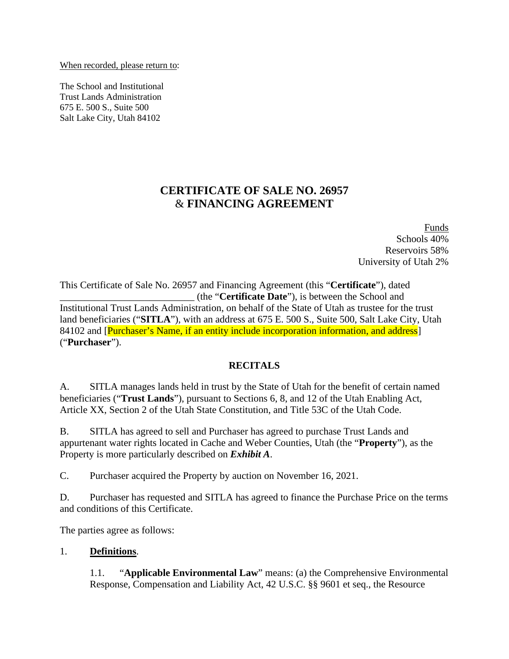When recorded, please return to:

The School and Institutional Trust Lands Administration 675 E. 500 S., Suite 500 Salt Lake City, Utah 84102

## **CERTIFICATE OF SALE NO. 26957** & **FINANCING AGREEMENT**

Funds Schools 40% Reservoirs 58% University of Utah 2%

This Certificate of Sale No. 26957 and Financing Agreement (this "**Certificate**"), dated \_\_\_\_\_\_\_\_\_\_\_\_\_\_\_\_\_\_\_\_\_\_\_\_\_\_\_ (the "**Certificate Date**"), is between the School and Institutional Trust Lands Administration, on behalf of the State of Utah as trustee for the trust land beneficiaries ("**SITLA**"), with an address at 675 E. 500 S., Suite 500, Salt Lake City, Utah 84102 and [Purchaser's Name, if an entity include incorporation information, and address] ("**Purchaser**").

#### **RECITALS**

A. SITLA manages lands held in trust by the State of Utah for the benefit of certain named beneficiaries ("**Trust Lands**"), pursuant to Sections 6, 8, and 12 of the Utah Enabling Act, Article XX, Section 2 of the Utah State Constitution, and Title 53C of the Utah Code.

B. SITLA has agreed to sell and Purchaser has agreed to purchase Trust Lands and appurtenant water rights located in Cache and Weber Counties, Utah (the "**Property**"), as the Property is more particularly described on *Exhibit A*.

C. Purchaser acquired the Property by auction on November 16, 2021.

D. Purchaser has requested and SITLA has agreed to finance the Purchase Price on the terms and conditions of this Certificate.

The parties agree as follows:

#### 1. **Definitions**.

1.1. "**Applicable Environmental Law**" means: (a) the Comprehensive Environmental Response, Compensation and Liability Act, 42 U.S.C. §§ 9601 et seq., the Resource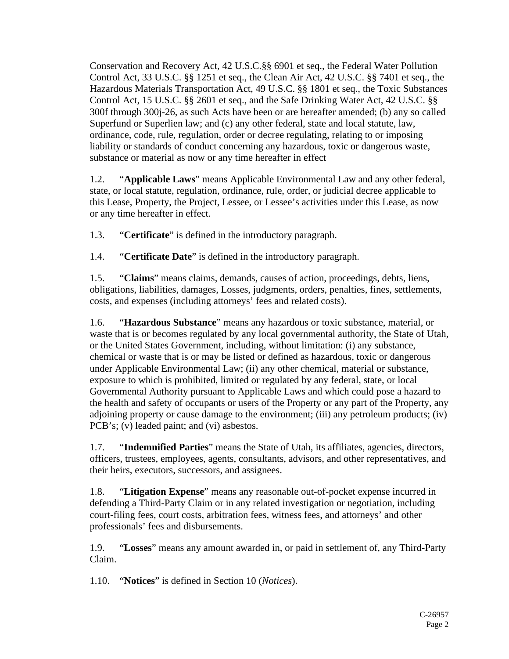Conservation and Recovery Act, 42 U.S.C.§§ 6901 et seq., the Federal Water Pollution Control Act, 33 U.S.C. §§ 1251 et seq., the Clean Air Act, 42 U.S.C. §§ 7401 et seq., the Hazardous Materials Transportation Act, 49 U.S.C. §§ 1801 et seq., the Toxic Substances Control Act, 15 U.S.C. §§ 2601 et seq., and the Safe Drinking Water Act, 42 U.S.C. §§ 300f through 300j-26, as such Acts have been or are hereafter amended; (b) any so called Superfund or Superlien law; and (c) any other federal, state and local statute, law, ordinance, code, rule, regulation, order or decree regulating, relating to or imposing liability or standards of conduct concerning any hazardous, toxic or dangerous waste, substance or material as now or any time hereafter in effect

1.2. "**Applicable Laws**" means Applicable Environmental Law and any other federal, state, or local statute, regulation, ordinance, rule, order, or judicial decree applicable to this Lease, Property, the Project, Lessee, or Lessee's activities under this Lease, as now or any time hereafter in effect.

1.3. "**Certificate**" is defined in the introductory paragraph.

1.4. "**Certificate Date**" is defined in the introductory paragraph.

1.5. "**Claims**" means claims, demands, causes of action, proceedings, debts, liens, obligations, liabilities, damages, Losses, judgments, orders, penalties, fines, settlements, costs, and expenses (including attorneys' fees and related costs).

1.6. "**Hazardous Substance**" means any hazardous or toxic substance, material, or waste that is or becomes regulated by any local governmental authority, the State of Utah, or the United States Government, including, without limitation: (i) any substance, chemical or waste that is or may be listed or defined as hazardous, toxic or dangerous under Applicable Environmental Law; (ii) any other chemical, material or substance, exposure to which is prohibited, limited or regulated by any federal, state, or local Governmental Authority pursuant to Applicable Laws and which could pose a hazard to the health and safety of occupants or users of the Property or any part of the Property, any adjoining property or cause damage to the environment; (iii) any petroleum products; (iv) PCB's; (v) leaded paint; and (vi) asbestos.

1.7. "**Indemnified Parties**" means the State of Utah, its affiliates, agencies, directors, officers, trustees, employees, agents, consultants, advisors, and other representatives, and their heirs, executors, successors, and assignees.

1.8. "**Litigation Expense**" means any reasonable out-of-pocket expense incurred in defending a Third-Party Claim or in any related investigation or negotiation, including court-filing fees, court costs, arbitration fees, witness fees, and attorneys' and other professionals' fees and disbursements.

1.9. "**Losses**" means any amount awarded in, or paid in settlement of, any Third-Party Claim.

1.10. "**Notices**" is defined in Section [10](#page-8-0) (*Notices*).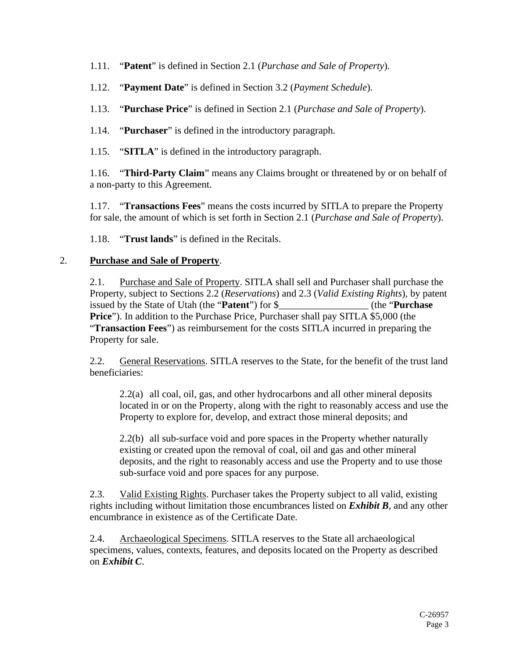- 1.11. "**Patent**" is defined in Section [2.1](#page-2-0) (*Purchase and Sale of Property*).
- 1.12. "**Payment Date**" is defined in Section [3.2](#page-3-0) (*Payment Schedule*).
- 1.13. "**Purchase Price**" is defined in Section [2.1](#page-2-0) (*Purchase and Sale of Property*).
- 1.14. "**Purchaser**" is defined in the introductory paragraph.
- 1.15. "**SITLA**" is defined in the introductory paragraph.

1.16. "**Third-Party Claim**" means any Claims brought or threatened by or on behalf of a non-party to this Agreement.

1.17. "**Transactions Fees**" means the costs incurred by SITLA to prepare the Property for sale, the amount of which is set forth in Section [2.1](#page-2-0) (*Purchase and Sale of Property*).

1.18. "**Trust lands**" is defined in the Recitals.

#### <span id="page-2-3"></span><span id="page-2-0"></span>2. **Purchase and Sale of Property**.

2.1. Purchase and Sale of Property. SITLA shall sell and Purchaser shall purchase the Property, subject to Sections [2.2](#page-2-1) (*Reservations*) and [2.3](#page-2-2) (*Valid Existing Rights*), by patent issued by the State of Utah (the "**Patent**") for \$\_\_\_\_\_\_\_\_\_\_\_\_\_\_\_\_\_\_ (the "**Purchase Price**"). In addition to the Purchase Price, Purchaser shall pay SITLA \$5,000 (the "**Transaction Fees**") as reimbursement for the costs SITLA incurred in preparing the Property for sale.

<span id="page-2-1"></span>2.2. General Reservations. SITLA reserves to the State, for the benefit of the trust land beneficiaries:

2.2(a) all coal, oil, gas, and other hydrocarbons and all other mineral deposits located in or on the Property, along with the right to reasonably access and use the Property to explore for, develop, and extract those mineral deposits; and

2.2(b) all sub-surface void and pore spaces in the Property whether naturally existing or created upon the removal of coal, oil and gas and other mineral deposits, and the right to reasonably access and use the Property and to use those sub-surface void and pore spaces for any purpose.

<span id="page-2-2"></span>2.3. Valid Existing Rights. Purchaser takes the Property subject to all valid, existing rights including without limitation those encumbrances listed on *Exhibit B*, and any other encumbrance in existence as of the Certificate Date.

<span id="page-2-4"></span>2.4. Archaeological Specimens. SITLA reserves to the State all archaeological specimens, values, contexts, features, and deposits located on the Property as described on *Exhibit C*.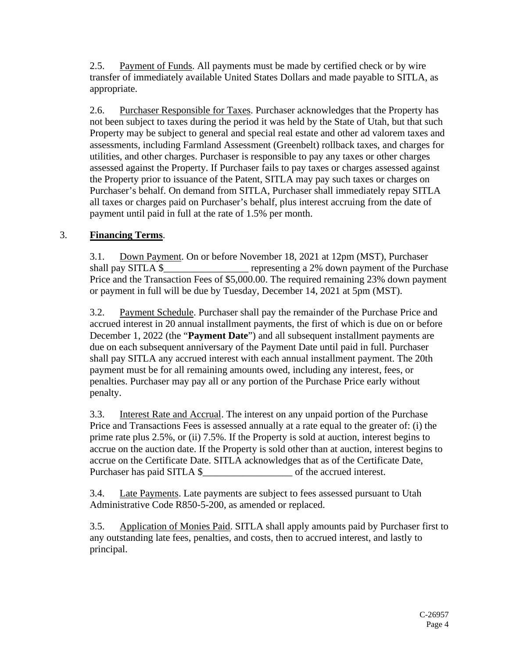<span id="page-3-2"></span>2.5. Payment of Funds. All payments must be made by certified check or by wire transfer of immediately available United States Dollars and made payable to SITLA, as appropriate.

<span id="page-3-1"></span>2.6. Purchaser Responsible for Taxes. Purchaser acknowledges that the Property has not been subject to taxes during the period it was held by the State of Utah, but that such Property may be subject to general and special real estate and other ad valorem taxes and assessments, including Farmland Assessment (Greenbelt) rollback taxes, and charges for utilities, and other charges. Purchaser is responsible to pay any taxes or other charges assessed against the Property. If Purchaser fails to pay taxes or charges assessed against the Property prior to issuance of the Patent, SITLA may pay such taxes or charges on Purchaser's behalf. On demand from SITLA, Purchaser shall immediately repay SITLA all taxes or charges paid on Purchaser's behalf, plus interest accruing from the date of payment until paid in full at the rate of 1.5% per month.

## <span id="page-3-0"></span>3. **Financing Terms**.

3.1. Down Payment. On or before November 18, 2021 at 12pm (MST), Purchaser shall pay SITLA \$ representing a 2% down payment of the Purchase Price and the Transaction Fees of \$5,000.00. The required remaining 23% down payment or payment in full will be due by Tuesday, December 14, 2021 at 5pm (MST).

3.2. Payment Schedule. Purchaser shall pay the remainder of the Purchase Price and accrued interest in 20 annual installment payments, the first of which is due on or before December 1, 2022 (the "**Payment Date**") and all subsequent installment payments are due on each subsequent anniversary of the Payment Date until paid in full. Purchaser shall pay SITLA any accrued interest with each annual installment payment. The 20th payment must be for all remaining amounts owed, including any interest, fees, or penalties. Purchaser may pay all or any portion of the Purchase Price early without penalty.

3.3. Interest Rate and Accrual. The interest on any unpaid portion of the Purchase Price and Transactions Fees is assessed annually at a rate equal to the greater of: (i) the prime rate plus 2.5%, or (ii) 7.5%. If the Property is sold at auction, interest begins to accrue on the auction date. If the Property is sold other than at auction, interest begins to accrue on the Certificate Date. SITLA acknowledges that as of the Certificate Date, Purchaser has paid SITLA \$\_\_\_\_\_\_\_\_\_\_\_\_\_\_\_\_\_\_ of the accrued interest.

3.4. Late Payments. Late payments are subject to fees assessed pursuant to Utah Administrative Code R850-5-200, as amended or replaced.

3.5. Application of Monies Paid. SITLA shall apply amounts paid by Purchaser first to any outstanding late fees, penalties, and costs, then to accrued interest, and lastly to principal.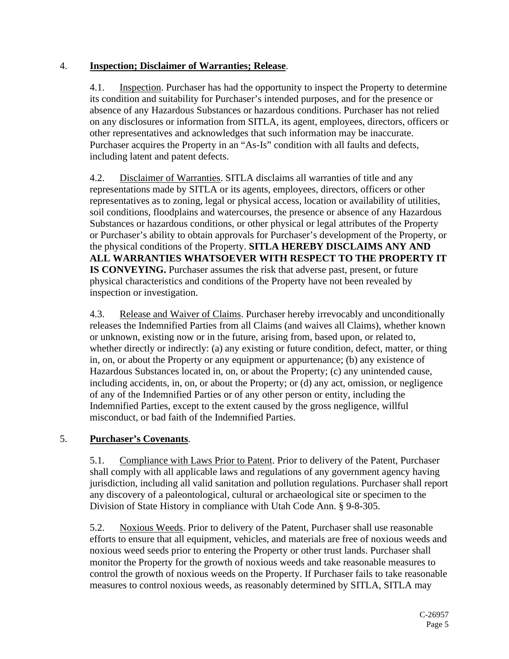## <span id="page-4-1"></span>4. **Inspection; Disclaimer of Warranties; Release**.

4.1. Inspection. Purchaser has had the opportunity to inspect the Property to determine its condition and suitability for Purchaser's intended purposes, and for the presence or absence of any Hazardous Substances or hazardous conditions. Purchaser has not relied on any disclosures or information from SITLA, its agent, employees, directors, officers or other representatives and acknowledges that such information may be inaccurate. Purchaser acquires the Property in an "As-Is" condition with all faults and defects, including latent and patent defects.

4.2. Disclaimer of Warranties. SITLA disclaims all warranties of title and any representations made by SITLA or its agents, employees, directors, officers or other representatives as to zoning, legal or physical access, location or availability of utilities, soil conditions, floodplains and watercourses, the presence or absence of any Hazardous Substances or hazardous conditions, or other physical or legal attributes of the Property or Purchaser's ability to obtain approvals for Purchaser's development of the Property, or the physical conditions of the Property. **SITLA HEREBY DISCLAIMS ANY AND ALL WARRANTIES WHATSOEVER WITH RESPECT TO THE PROPERTY IT IS CONVEYING.** Purchaser assumes the risk that adverse past, present, or future physical characteristics and conditions of the Property have not been revealed by inspection or investigation.

4.3. Release and Waiver of Claims. Purchaser hereby irrevocably and unconditionally releases the Indemnified Parties from all Claims (and waives all Claims), whether known or unknown, existing now or in the future, arising from, based upon, or related to, whether directly or indirectly: (a) any existing or future condition, defect, matter, or thing in, on, or about the Property or any equipment or appurtenance; (b) any existence of Hazardous Substances located in, on, or about the Property; (c) any unintended cause, including accidents, in, on, or about the Property; or (d) any act, omission, or negligence of any of the Indemnified Parties or of any other person or entity, including the Indemnified Parties, except to the extent caused by the gross negligence, willful misconduct, or bad faith of the Indemnified Parties.

## <span id="page-4-0"></span>5. **Purchaser's Covenants**.

5.1. Compliance with Laws Prior to Patent. Prior to delivery of the Patent, Purchaser shall comply with all applicable laws and regulations of any government agency having jurisdiction, including all valid sanitation and pollution regulations. Purchaser shall report any discovery of a paleontological, cultural or archaeological site or specimen to the Division of State History in compliance with Utah Code Ann. § 9-8-305.

5.2. Noxious Weeds. Prior to delivery of the Patent, Purchaser shall use reasonable efforts to ensure that all equipment, vehicles, and materials are free of noxious weeds and noxious weed seeds prior to entering the Property or other trust lands. Purchaser shall monitor the Property for the growth of noxious weeds and take reasonable measures to control the growth of noxious weeds on the Property. If Purchaser fails to take reasonable measures to control noxious weeds, as reasonably determined by SITLA, SITLA may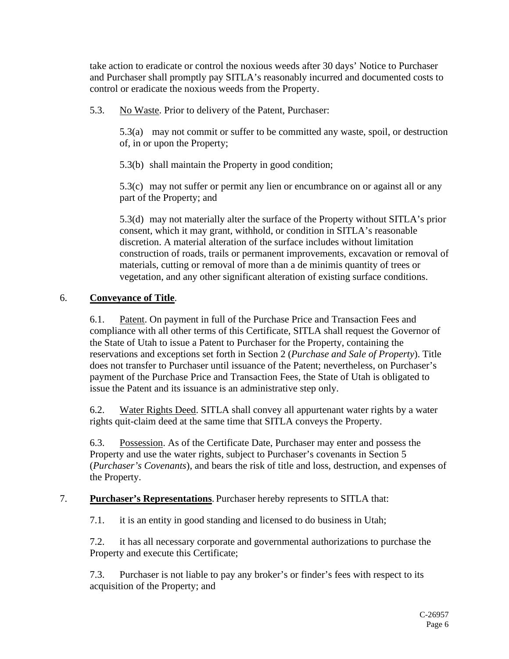take action to eradicate or control the noxious weeds after 30 days' Notice to Purchaser and Purchaser shall promptly pay SITLA's reasonably incurred and documented costs to control or eradicate the noxious weeds from the Property.

5.3. No Waste. Prior to delivery of the Patent, Purchaser:

5.3(a) may not commit or suffer to be committed any waste, spoil, or destruction of, in or upon the Property;

5.3(b) shall maintain the Property in good condition;

5.3(c) may not suffer or permit any lien or encumbrance on or against all or any part of the Property; and

5.3(d) may not materially alter the surface of the Property without SITLA's prior consent, which it may grant, withhold, or condition in SITLA's reasonable discretion. A material alteration of the surface includes without limitation construction of roads, trails or permanent improvements, excavation or removal of materials, cutting or removal of more than a de minimis quantity of trees or vegetation, and any other significant alteration of existing surface conditions.

## 6. **Conveyance of Title**.

6.1. Patent. On payment in full of the Purchase Price and Transaction Fees and compliance with all other terms of this Certificate, SITLA shall request the Governor of the State of Utah to issue a Patent to Purchaser for the Property, containing the reservations and exceptions set forth in Section [2](#page-2-3) (*Purchase and Sale of Property*). Title does not transfer to Purchaser until issuance of the Patent; nevertheless, on Purchaser's payment of the Purchase Price and Transaction Fees, the State of Utah is obligated to issue the Patent and its issuance is an administrative step only.

6.2. Water Rights Deed. SITLA shall convey all appurtenant water rights by a water rights quit-claim deed at the same time that SITLA conveys the Property.

6.3. Possession. As of the Certificate Date, Purchaser may enter and possess the Property and use the water rights, subject to Purchaser's covenants in Section [5](#page-4-0) (*Purchaser's Covenants*), and bears the risk of title and loss, destruction, and expenses of the Property.

#### 7. **Purchaser's Representations**. Purchaser hereby represents to SITLA that:

7.1. it is an entity in good standing and licensed to do business in Utah;

7.2. it has all necessary corporate and governmental authorizations to purchase the Property and execute this Certificate;

7.3. Purchaser is not liable to pay any broker's or finder's fees with respect to its acquisition of the Property; and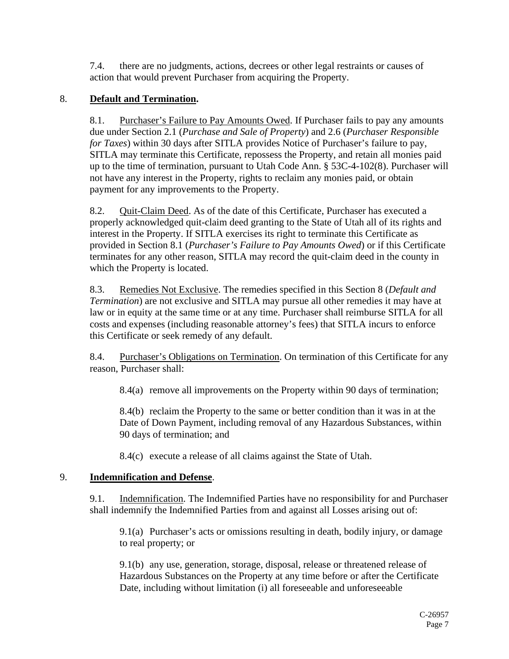7.4. there are no judgments, actions, decrees or other legal restraints or causes of action that would prevent Purchaser from acquiring the Property.

## <span id="page-6-1"></span><span id="page-6-0"></span>8. **Default and Termination.**

8.1. Purchaser's Failure to Pay Amounts Owed. If Purchaser fails to pay any amounts due under Section [2.1](#page-2-0) (*Purchase and Sale of Property*) and [2.6](#page-3-1) (*Purchaser Responsible for Taxes*) within 30 days after SITLA provides Notice of Purchaser's failure to pay, SITLA may terminate this Certificate, repossess the Property, and retain all monies paid up to the time of termination, pursuant to Utah Code Ann. § 53C-4-102(8). Purchaser will not have any interest in the Property, rights to reclaim any monies paid, or obtain payment for any improvements to the Property.

8.2. Quit-Claim Deed. As of the date of this Certificate, Purchaser has executed a properly acknowledged quit-claim deed granting to the State of Utah all of its rights and interest in the Property. If SITLA exercises its right to terminate this Certificate as provided in Section [8.1](#page-6-0) (*Purchaser's Failure to Pay Amounts Owed*) or if this Certificate terminates for any other reason, SITLA may record the quit-claim deed in the county in which the Property is located.

8.3. Remedies Not Exclusive. The remedies specified in this Section [8](#page-6-1) (*Default and Termination*) are not exclusive and SITLA may pursue all other remedies it may have at law or in equity at the same time or at any time. Purchaser shall reimburse SITLA for all costs and expenses (including reasonable attorney's fees) that SITLA incurs to enforce this Certificate or seek remedy of any default.

8.4. Purchaser's Obligations on Termination. On termination of this Certificate for any reason, Purchaser shall:

8.4(a) remove all improvements on the Property within 90 days of termination;

8.4(b) reclaim the Property to the same or better condition than it was in at the Date of Down Payment, including removal of any Hazardous Substances, within 90 days of termination; and

8.4(c) execute a release of all claims against the State of Utah.

#### 9. **Indemnification and Defense**.

9.1. Indemnification. The Indemnified Parties have no responsibility for and Purchaser shall indemnify the Indemnified Parties from and against all Losses arising out of:

9.1(a) Purchaser's acts or omissions resulting in death, bodily injury, or damage to real property; or

9.1(b) any use, generation, storage, disposal, release or threatened release of Hazardous Substances on the Property at any time before or after the Certificate Date, including without limitation (i) all foreseeable and unforeseeable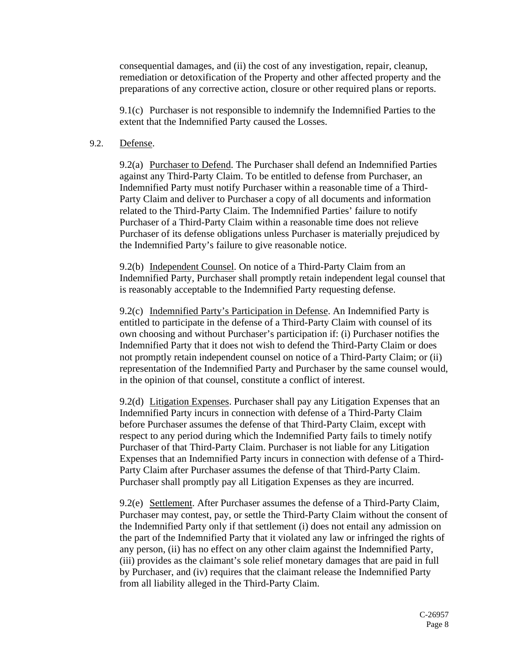consequential damages, and (ii) the cost of any investigation, repair, cleanup, remediation or detoxification of the Property and other affected property and the preparations of any corrective action, closure or other required plans or reports.

9.1(c) Purchaser is not responsible to indemnify the Indemnified Parties to the extent that the Indemnified Party caused the Losses.

#### 9.2. Defense.

9.2(a) Purchaser to Defend. The Purchaser shall defend an Indemnified Parties against any Third-Party Claim. To be entitled to defense from Purchaser, an Indemnified Party must notify Purchaser within a reasonable time of a Third-Party Claim and deliver to Purchaser a copy of all documents and information related to the Third-Party Claim. The Indemnified Parties' failure to notify Purchaser of a Third-Party Claim within a reasonable time does not relieve Purchaser of its defense obligations unless Purchaser is materially prejudiced by the Indemnified Party's failure to give reasonable notice.

9.2(b) Independent Counsel. On notice of a Third-Party Claim from an Indemnified Party, Purchaser shall promptly retain independent legal counsel that is reasonably acceptable to the Indemnified Party requesting defense.

9.2(c) Indemnified Party's Participation in Defense. An Indemnified Party is entitled to participate in the defense of a Third-Party Claim with counsel of its own choosing and without Purchaser's participation if: (i) Purchaser notifies the Indemnified Party that it does not wish to defend the Third-Party Claim or does not promptly retain independent counsel on notice of a Third-Party Claim; or (ii) representation of the Indemnified Party and Purchaser by the same counsel would, in the opinion of that counsel, constitute a conflict of interest.

9.2(d) Litigation Expenses. Purchaser shall pay any Litigation Expenses that an Indemnified Party incurs in connection with defense of a Third-Party Claim before Purchaser assumes the defense of that Third-Party Claim, except with respect to any period during which the Indemnified Party fails to timely notify Purchaser of that Third-Party Claim. Purchaser is not liable for any Litigation Expenses that an Indemnified Party incurs in connection with defense of a Third-Party Claim after Purchaser assumes the defense of that Third-Party Claim. Purchaser shall promptly pay all Litigation Expenses as they are incurred.

9.2(e) Settlement. After Purchaser assumes the defense of a Third-Party Claim, Purchaser may contest, pay, or settle the Third-Party Claim without the consent of the Indemnified Party only if that settlement (i) does not entail any admission on the part of the Indemnified Party that it violated any law or infringed the rights of any person, (ii) has no effect on any other claim against the Indemnified Party, (iii) provides as the claimant's sole relief monetary damages that are paid in full by Purchaser, and (iv) requires that the claimant release the Indemnified Party from all liability alleged in the Third-Party Claim.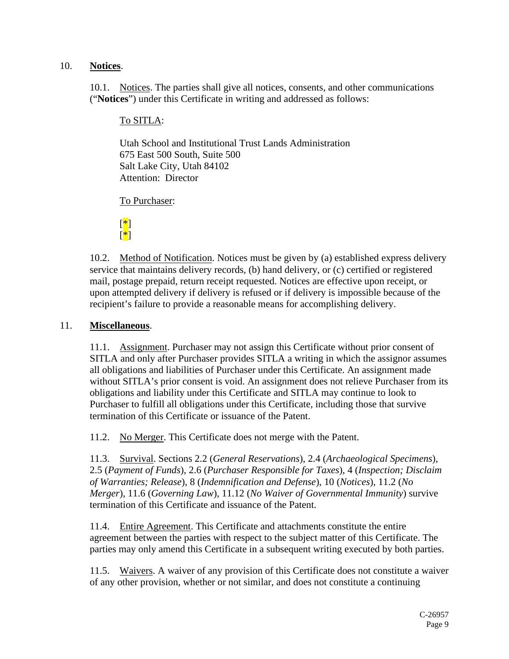#### <span id="page-8-0"></span>10. **Notices**.

10.1. Notices. The parties shall give all notices, consents, and other communications ("**Notices**") under this Certificate in writing and addressed as follows:

#### To SITLA:

Utah School and Institutional Trust Lands Administration 675 East 500 South, Suite 500 Salt Lake City, Utah 84102 Attention: Director

To Purchaser:



10.2. Method of Notification. Notices must be given by (a) established express delivery service that maintains delivery records, (b) hand delivery, or (c) certified or registered mail, postage prepaid, return receipt requested. Notices are effective upon receipt, or upon attempted delivery if delivery is refused or if delivery is impossible because of the recipient's failure to provide a reasonable means for accomplishing delivery.

#### 11. **Miscellaneous**.

11.1. Assignment. Purchaser may not assign this Certificate without prior consent of SITLA and only after Purchaser provides SITLA a writing in which the assignor assumes all obligations and liabilities of Purchaser under this Certificate. An assignment made without SITLA's prior consent is void. An assignment does not relieve Purchaser from its obligations and liability under this Certificate and SITLA may continue to look to Purchaser to fulfill all obligations under this Certificate, including those that survive termination of this Certificate or issuance of the Patent.

<span id="page-8-1"></span>11.2. No Merger. This Certificate does not merge with the Patent.

11.3. Survival. Sections [2.2](#page-2-1) (*General Reservations*), [2.4](#page-2-4) (*Archaeological Specimens*), [2.5](#page-3-2) (*Payment of Funds*), [2.6](#page-3-1) (*Purchaser Responsible for Taxes*), [4](#page-4-1) (*Inspection; Disclaim of Warranties; Release*), [8](#page-6-1) (*Indemnification and Defense*), [10](#page-8-0) (*Notices*), [11.2](#page-8-1) (*No Merger*), [11.6](#page-9-0) (*Governing Law*), [11.12](#page-9-1) (*No Waiver of Governmental Immunity*) survive termination of this Certificate and issuance of the Patent.

11.4. Entire Agreement. This Certificate and attachments constitute the entire agreement between the parties with respect to the subject matter of this Certificate. The parties may only amend this Certificate in a subsequent writing executed by both parties.

11.5. Waivers. A waiver of any provision of this Certificate does not constitute a waiver of any other provision, whether or not similar, and does not constitute a continuing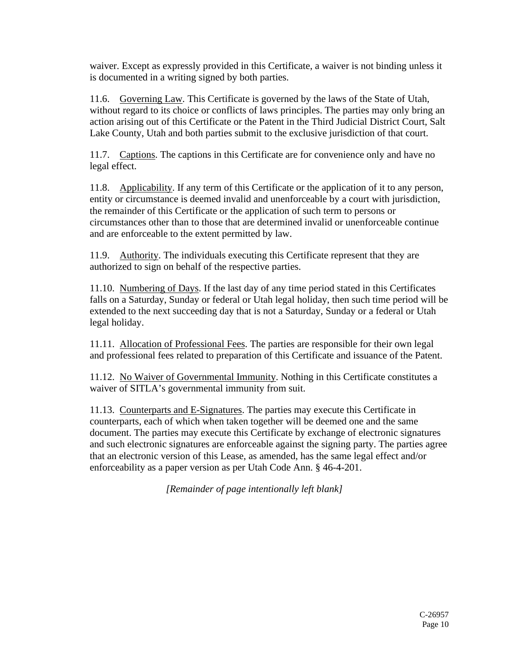waiver. Except as expressly provided in this Certificate, a waiver is not binding unless it is documented in a writing signed by both parties.

<span id="page-9-0"></span>11.6. Governing Law. This Certificate is governed by the laws of the State of Utah, without regard to its choice or conflicts of laws principles. The parties may only bring an action arising out of this Certificate or the Patent in the Third Judicial District Court, Salt Lake County, Utah and both parties submit to the exclusive jurisdiction of that court.

11.7. Captions. The captions in this Certificate are for convenience only and have no legal effect.

11.8. Applicability. If any term of this Certificate or the application of it to any person, entity or circumstance is deemed invalid and unenforceable by a court with jurisdiction, the remainder of this Certificate or the application of such term to persons or circumstances other than to those that are determined invalid or unenforceable continue and are enforceable to the extent permitted by law.

11.9. Authority. The individuals executing this Certificate represent that they are authorized to sign on behalf of the respective parties.

11.10. Numbering of Days. If the last day of any time period stated in this Certificates falls on a Saturday, Sunday or federal or Utah legal holiday, then such time period will be extended to the next succeeding day that is not a Saturday, Sunday or a federal or Utah legal holiday.

11.11. Allocation of Professional Fees. The parties are responsible for their own legal and professional fees related to preparation of this Certificate and issuance of the Patent.

<span id="page-9-1"></span>11.12. No Waiver of Governmental Immunity. Nothing in this Certificate constitutes a waiver of SITLA's governmental immunity from suit.

11.13. Counterparts and E-Signatures. The parties may execute this Certificate in counterparts, each of which when taken together will be deemed one and the same document. The parties may execute this Certificate by exchange of electronic signatures and such electronic signatures are enforceable against the signing party. The parties agree that an electronic version of this Lease, as amended, has the same legal effect and/or enforceability as a paper version as per Utah Code Ann. § 46-4-201.

*[Remainder of page intentionally left blank]*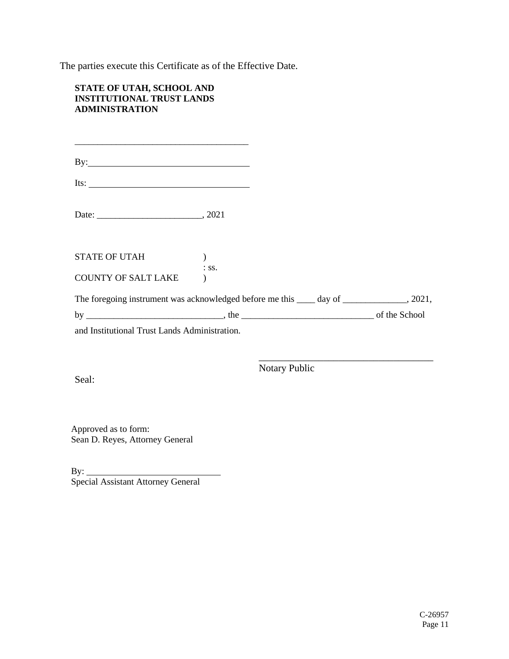The parties execute this Certificate as of the Effective Date.

#### **STATE OF UTAH, SCHOOL AND INSTITUTIONAL TRUST LANDS ADMINISTRATION**

| $By:\_\_\_\_\_\_\_\_\_\_\_$                                                                |                  |  |
|--------------------------------------------------------------------------------------------|------------------|--|
| Its: $\qquad \qquad$                                                                       |                  |  |
|                                                                                            |                  |  |
| STATE OF UTAH                                                                              |                  |  |
| COUNTY OF SALT LAKE                                                                        | $\therefore$ SS. |  |
| The foregoing instrument was acknowledged before me this ____ day of ______________, 2021, |                  |  |
|                                                                                            |                  |  |
| and Institutional Trust Lands Administration.                                              |                  |  |

Seal:

Notary Public

\_\_\_\_\_\_\_\_\_\_\_\_\_\_\_\_\_\_\_\_\_\_\_\_\_\_\_\_\_\_\_\_\_\_\_

Approved as to form: Sean D. Reyes, Attorney General

 $By:$ Special Assistant Attorney General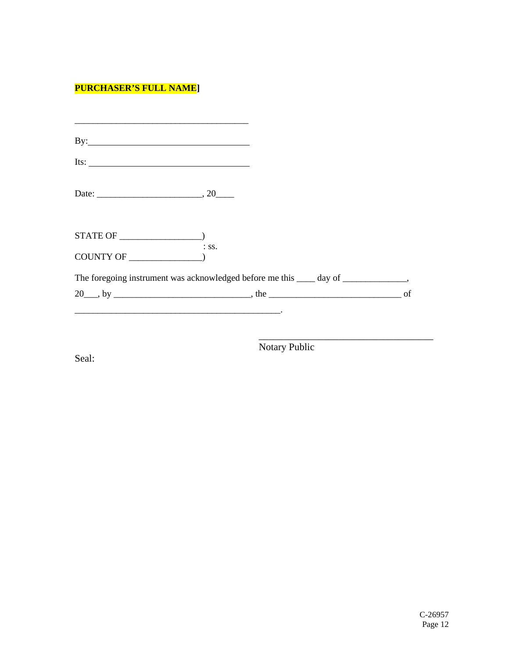# **PURCHASER'S FULL NAME]**

| Its: $\frac{1}{\sqrt{1-\frac{1}{2}}\sqrt{1-\frac{1}{2}}\sqrt{1-\frac{1}{2}}\sqrt{1-\frac{1}{2}}\sqrt{1-\frac{1}{2}}\sqrt{1-\frac{1}{2}}\sqrt{1-\frac{1}{2}}\sqrt{1-\frac{1}{2}}\sqrt{1-\frac{1}{2}}\sqrt{1-\frac{1}{2}}\sqrt{1-\frac{1}{2}}\sqrt{1-\frac{1}{2}}\sqrt{1-\frac{1}{2}}\sqrt{1-\frac{1}{2}}\sqrt{1-\frac{1}{2}}\sqrt{1-\frac{1}{2}}\sqrt{1-\frac{1}{2}}\sqrt{1-\frac{1}{2}}\sqrt{1-\frac{1}{2}}\$ |  |
|---------------------------------------------------------------------------------------------------------------------------------------------------------------------------------------------------------------------------------------------------------------------------------------------------------------------------------------------------------------------------------------------------------------|--|
|                                                                                                                                                                                                                                                                                                                                                                                                               |  |
|                                                                                                                                                                                                                                                                                                                                                                                                               |  |
| $:$ SS.                                                                                                                                                                                                                                                                                                                                                                                                       |  |
| The foregoing instrument was acknowledged before me this _____ day of _______________,                                                                                                                                                                                                                                                                                                                        |  |
|                                                                                                                                                                                                                                                                                                                                                                                                               |  |

Seal:

Notary Public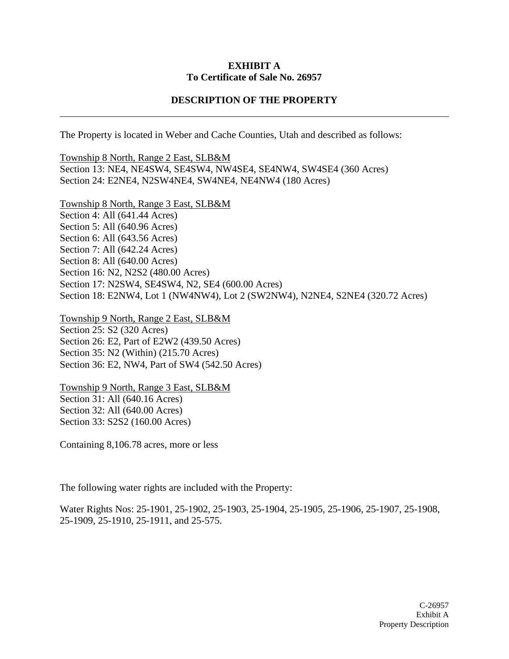#### **EXHIBIT A To Certificate of Sale No. 26957**

#### **DESCRIPTION OF THE PROPERTY**

The Property is located in Weber and Cache Counties, Utah and described as follows:

Township 8 North, Range 2 East, SLB&M Section 13: NE4, NE4SW4, SE4SW4, NW4SE4, SE4NW4, SW4SE4 (360 Acres) Section 24: E2NE4, N2SW4NE4, SW4NE4, NE4NW4 (180 Acres)

Township 8 North, Range 3 East, SLB&M Section 4: All (641.44 Acres) Section 5: All (640.96 Acres) Section 6: All (643.56 Acres) Section 7: All (642.24 Acres) Section 8: All (640.00 Acres) Section 16: N2, N2S2 (480.00 Acres) Section 17: N2SW4, SE4SW4, N2, SE4 (600.00 Acres) Section 18: E2NW4, Lot 1 (NW4NW4), Lot 2 (SW2NW4), N2NE4, S2NE4 (320.72 Acres)

Township 9 North, Range 2 East, SLB&M Section 25: S2 (320 Acres) Section 26: E2, Part of E2W2 (439.50 Acres) Section 35: N2 (Within) (215.70 Acres) Section 36: E2, NW4, Part of SW4 (542.50 Acres)

Township 9 North, Range 3 East, SLB&M Section 31: All (640.16 Acres) Section 32: All (640.00 Acres) Section 33: S2S2 (160.00 Acres)

Containing 8,106.78 acres, more or less

The following water rights are included with the Property:

Water Rights Nos: 25-1901, 25-1902, 25-1903, 25-1904, 25-1905, 25-1906, 25-1907, 25-1908, 25-1909, 25-1910, 25-1911, and 25-575.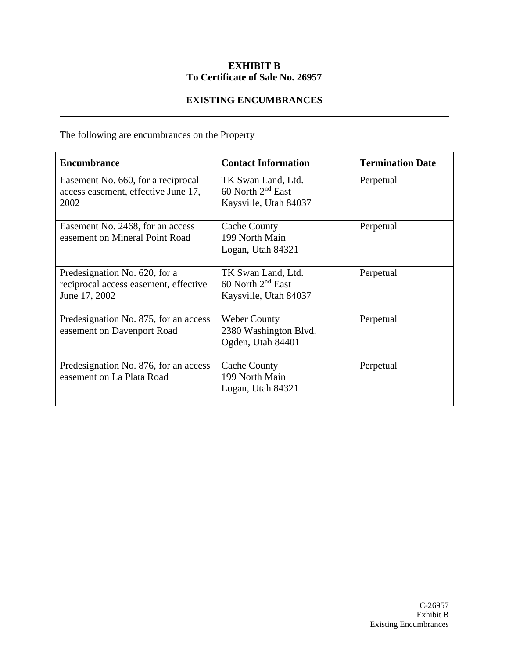## **EXHIBIT B To Certificate of Sale No. 26957**

## **EXISTING ENCUMBRANCES**

The following are encumbrances on the Property

| <b>Encumbrance</b>                                                                      | <b>Contact Information</b>                                                   | <b>Termination Date</b> |
|-----------------------------------------------------------------------------------------|------------------------------------------------------------------------------|-------------------------|
| Easement No. 660, for a reciprocal<br>access easement, effective June 17,<br>2002       | TK Swan Land, Ltd.<br>60 North $2^{nd}$ East<br>Kaysville, Utah 84037        | Perpetual               |
| Easement No. 2468, for an access<br>easement on Mineral Point Road                      | Cache County<br>199 North Main<br>Logan, Utah 84321                          | Perpetual               |
| Predesignation No. 620, for a<br>reciprocal access easement, effective<br>June 17, 2002 | TK Swan Land, Ltd.<br>60 North 2 <sup>nd</sup> East<br>Kaysville, Utah 84037 | Perpetual               |
| Predesignation No. 875, for an access<br>easement on Davenport Road                     | <b>Weber County</b><br>2380 Washington Blvd.<br>Ogden, Utah 84401            | Perpetual               |
| Predesignation No. 876, for an access<br>easement on La Plata Road                      | <b>Cache County</b><br>199 North Main<br>Logan, Utah 84321                   | Perpetual               |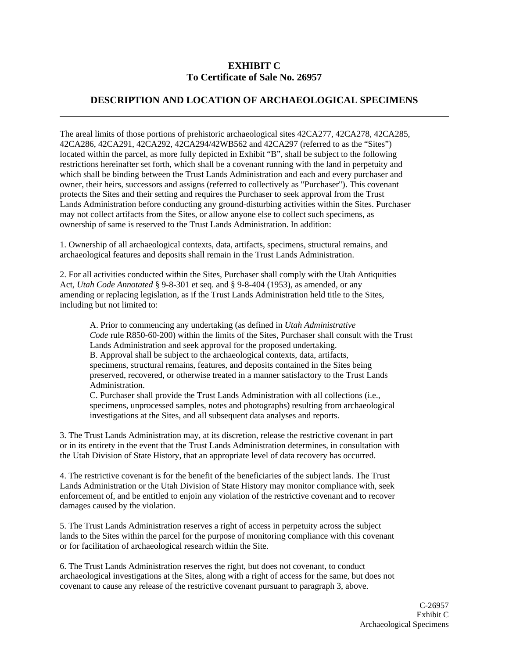#### **EXHIBIT C To Certificate of Sale No. 26957**

#### **DESCRIPTION AND LOCATION OF ARCHAEOLOGICAL SPECIMENS**

The areal limits of those portions of prehistoric archaeological sites 42CA277, 42CA278, 42CA285, 42CA286, 42CA291, 42CA292, 42CA294/42WB562 and 42CA297 (referred to as the "Sites") located within the parcel, as more fully depicted in Exhibit "B", shall be subject to the following restrictions hereinafter set forth, which shall be a covenant running with the land in perpetuity and which shall be binding between the Trust Lands Administration and each and every purchaser and owner, their heirs, successors and assigns (referred to collectively as "Purchaser"). This covenant protects the Sites and their setting and requires the Purchaser to seek approval from the Trust Lands Administration before conducting any ground-disturbing activities within the Sites. Purchaser may not collect artifacts from the Sites, or allow anyone else to collect such specimens, as ownership of same is reserved to the Trust Lands Administration. In addition:

1. Ownership of all archaeological contexts, data, artifacts, specimens, structural remains, and archaeological features and deposits shall remain in the Trust Lands Administration.

2. For all activities conducted within the Sites, Purchaser shall comply with the Utah Antiquities Act, *Utah Code Annotated* § 9-8-301 et seq. and § 9-8-404 (1953), as amended, or any amending or replacing legislation, as if the Trust Lands Administration held title to the Sites, including but not limited to:

A. Prior to commencing any undertaking (as defined in *Utah Administrative Code* rule R850-60-200) within the limits of the Sites, Purchaser shall consult with the Trust Lands Administration and seek approval for the proposed undertaking. B. Approval shall be subject to the archaeological contexts, data, artifacts, specimens, structural remains, features, and deposits contained in the Sites being preserved, recovered, or otherwise treated in a manner satisfactory to the Trust Lands Administration.

C. Purchaser shall provide the Trust Lands Administration with all collections (i.e., specimens, unprocessed samples, notes and photographs) resulting from archaeological investigations at the Sites, and all subsequent data analyses and reports.

3. The Trust Lands Administration may, at its discretion, release the restrictive covenant in part or in its entirety in the event that the Trust Lands Administration determines, in consultation with the Utah Division of State History, that an appropriate level of data recovery has occurred.

4. The restrictive covenant is for the benefit of the beneficiaries of the subject lands. The Trust Lands Administration or the Utah Division of State History may monitor compliance with, seek enforcement of, and be entitled to enjoin any violation of the restrictive covenant and to recover damages caused by the violation.

5. The Trust Lands Administration reserves a right of access in perpetuity across the subject lands to the Sites within the parcel for the purpose of monitoring compliance with this covenant or for facilitation of archaeological research within the Site.

6. The Trust Lands Administration reserves the right, but does not covenant, to conduct archaeological investigations at the Sites, along with a right of access for the same, but does not covenant to cause any release of the restrictive covenant pursuant to paragraph 3, above.